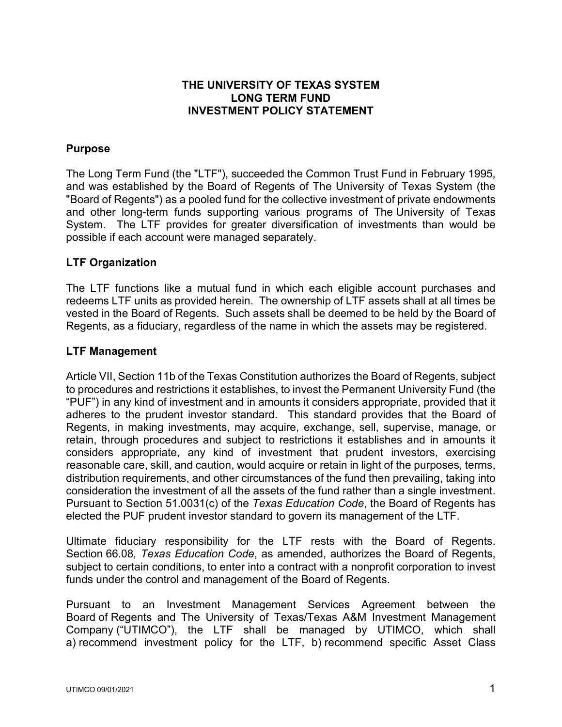## **THE UNIVERSITY OF TEXAS SYSTEM LONG TERM FUND INVESTMENT POLICY STATEMENT**

## **Purpose**

The Long Term Fund (the "LTF"), succeeded the Common Trust Fund in February 1995, and was established by the Board of Regents of The University of Texas System (the "Board of Regents") as a pooled fund for the collective investment of private endowments and other long-term funds supporting various programs of The University of Texas System. The LTF provides for greater diversification of investments than would be possible if each account were managed separately.

#### **LTF Organization**

The LTF functions like a mutual fund in which each eligible account purchases and redeems LTF units as provided herein. The ownership of LTF assets shall at all times be vested in the Board of Regents. Such assets shall be deemed to be held by the Board of Regents, as a fiduciary, regardless of the name in which the assets may be registered.

## **LTF Management**

Article VII, Section 11b of the Texas Constitution authorizes the Board of Regents, subject to procedures and restrictions it establishes, to invest the Permanent University Fund (the "PUF") in any kind of investment and in amounts it considers appropriate, provided that it adheres to the prudent investor standard. This standard provides that the Board of Regents, in making investments, may acquire, exchange, sell, supervise, manage, or retain, through procedures and subject to restrictions it establishes and in amounts it considers appropriate, any kind of investment that prudent investors, exercising reasonable care, skill, and caution, would acquire or retain in light of the purposes, terms, distribution requirements, and other circumstances of the fund then prevailing, taking into consideration the investment of all the assets of the fund rather than a single investment. Pursuant to Section 51.0031(c) of the *Texas Education Code*, the Board of Regents has elected the PUF prudent investor standard to govern its management of the LTF.

Ultimate fiduciary responsibility for the LTF rests with the Board of Regents. Section 66.08*, Texas Education Code*, as amended, authorizes the Board of Regents, subject to certain conditions, to enter into a contract with a nonprofit corporation to invest funds under the control and management of the Board of Regents.

Pursuant to an Investment Management Services Agreement between the Board of Regents and The University of Texas/Texas A&M Investment Management Company ("UTIMCO"), the LTF shall be managed by UTIMCO, which shall a) recommend investment policy for the LTF, b) recommend specific Asset Class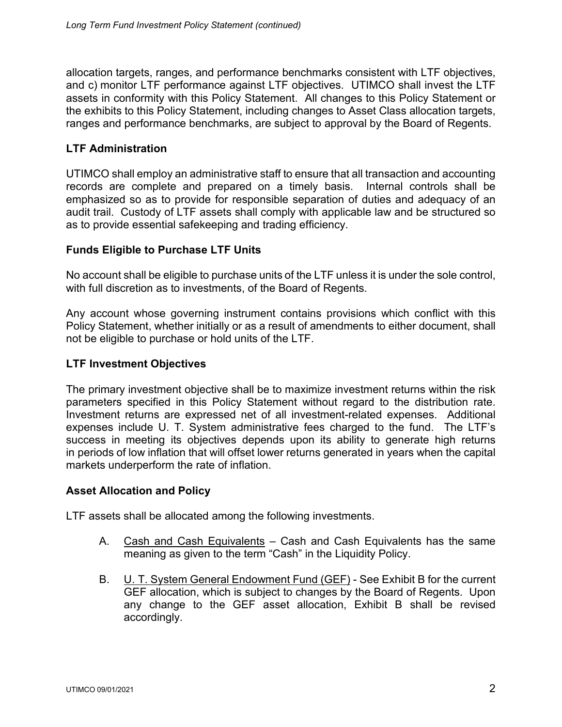allocation targets, ranges, and performance benchmarks consistent with LTF objectives, and c) monitor LTF performance against LTF objectives. UTIMCO shall invest the LTF assets in conformity with this Policy Statement. All changes to this Policy Statement or the exhibits to this Policy Statement, including changes to Asset Class allocation targets, ranges and performance benchmarks, are subject to approval by the Board of Regents.

## **LTF Administration**

UTIMCO shall employ an administrative staff to ensure that all transaction and accounting records are complete and prepared on a timely basis. Internal controls shall be emphasized so as to provide for responsible separation of duties and adequacy of an audit trail. Custody of LTF assets shall comply with applicable law and be structured so as to provide essential safekeeping and trading efficiency.

## **Funds Eligible to Purchase LTF Units**

No account shall be eligible to purchase units of the LTF unless it is under the sole control, with full discretion as to investments, of the Board of Regents.

Any account whose governing instrument contains provisions which conflict with this Policy Statement, whether initially or as a result of amendments to either document, shall not be eligible to purchase or hold units of the LTF.

## **LTF Investment Objectives**

The primary investment objective shall be to maximize investment returns within the risk parameters specified in this Policy Statement without regard to the distribution rate. Investment returns are expressed net of all investment-related expenses. Additional expenses include U. T. System administrative fees charged to the fund. The LTF's success in meeting its objectives depends upon its ability to generate high returns in periods of low inflation that will offset lower returns generated in years when the capital markets underperform the rate of inflation.

#### **Asset Allocation and Policy**

LTF assets shall be allocated among the following investments.

- A. Cash and Cash Equivalents Cash and Cash Equivalents has the same meaning as given to the term "Cash" in the Liquidity Policy.
- B. **U. T. System General Endowment Fund (GEF)** See Exhibit B for the current GEF allocation, which is subject to changes by the Board of Regents. Upon any change to the GEF asset allocation, Exhibit B shall be revised accordingly.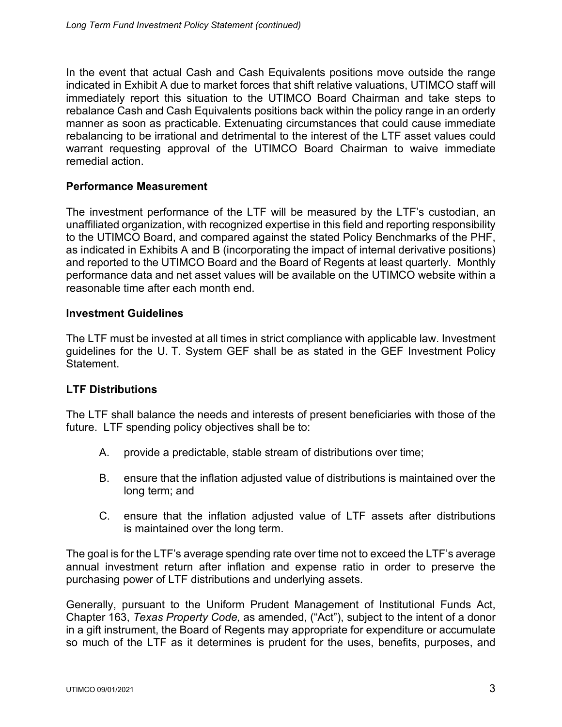In the event that actual Cash and Cash Equivalents positions move outside the range indicated in Exhibit A due to market forces that shift relative valuations, UTIMCO staff will immediately report this situation to the UTIMCO Board Chairman and take steps to rebalance Cash and Cash Equivalents positions back within the policy range in an orderly manner as soon as practicable. Extenuating circumstances that could cause immediate rebalancing to be irrational and detrimental to the interest of the LTF asset values could warrant requesting approval of the UTIMCO Board Chairman to waive immediate remedial action.

## **Performance Measurement**

The investment performance of the LTF will be measured by the LTF's custodian, an unaffiliated organization, with recognized expertise in this field and reporting responsibility to the UTIMCO Board, and compared against the stated Policy Benchmarks of the PHF, as indicated in Exhibits A and B (incorporating the impact of internal derivative positions) and reported to the UTIMCO Board and the Board of Regents at least quarterly. Monthly performance data and net asset values will be available on the UTIMCO website within a reasonable time after each month end.

#### **Investment Guidelines**

The LTF must be invested at all times in strict compliance with applicable law. Investment guidelines for the U. T. System GEF shall be as stated in the GEF Investment Policy Statement.

#### **LTF Distributions**

The LTF shall balance the needs and interests of present beneficiaries with those of the future. LTF spending policy objectives shall be to:

- A. provide a predictable, stable stream of distributions over time;
- B. ensure that the inflation adjusted value of distributions is maintained over the long term; and
- C. ensure that the inflation adjusted value of LTF assets after distributions is maintained over the long term.

The goal is for the LTF's average spending rate over time not to exceed the LTF's average annual investment return after inflation and expense ratio in order to preserve the purchasing power of LTF distributions and underlying assets.

Generally, pursuant to the Uniform Prudent Management of Institutional Funds Act, Chapter 163, *Texas Property Code,* as amended, ("Act"), subject to the intent of a donor in a gift instrument, the Board of Regents may appropriate for expenditure or accumulate so much of the LTF as it determines is prudent for the uses, benefits, purposes, and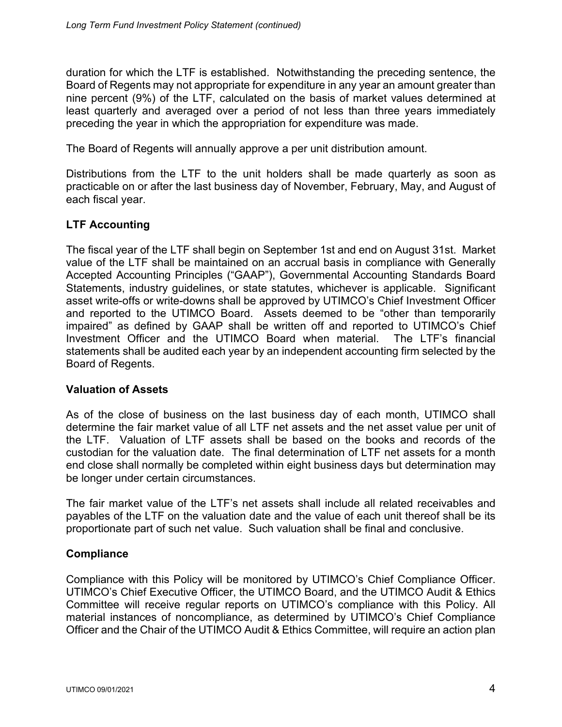duration for which the LTF is established. Notwithstanding the preceding sentence, the Board of Regents may not appropriate for expenditure in any year an amount greater than nine percent (9%) of the LTF, calculated on the basis of market values determined at least quarterly and averaged over a period of not less than three years immediately preceding the year in which the appropriation for expenditure was made.

The Board of Regents will annually approve a per unit distribution amount.

Distributions from the LTF to the unit holders shall be made quarterly as soon as practicable on or after the last business day of November, February, May, and August of each fiscal year.

# **LTF Accounting**

The fiscal year of the LTF shall begin on September 1st and end on August 31st. Market value of the LTF shall be maintained on an accrual basis in compliance with Generally Accepted Accounting Principles ("GAAP"), Governmental Accounting Standards Board Statements, industry guidelines, or state statutes, whichever is applicable. Significant asset write-offs or write-downs shall be approved by UTIMCO's Chief Investment Officer and reported to the UTIMCO Board. Assets deemed to be "other than temporarily impaired" as defined by GAAP shall be written off and reported to UTIMCO's Chief Investment Officer and the UTIMCO Board when material. The LTF's financial statements shall be audited each year by an independent accounting firm selected by the Board of Regents.

## **Valuation of Assets**

As of the close of business on the last business day of each month, UTIMCO shall determine the fair market value of all LTF net assets and the net asset value per unit of the LTF. Valuation of LTF assets shall be based on the books and records of the custodian for the valuation date. The final determination of LTF net assets for a month end close shall normally be completed within eight business days but determination may be longer under certain circumstances.

The fair market value of the LTF's net assets shall include all related receivables and payables of the LTF on the valuation date and the value of each unit thereof shall be its proportionate part of such net value. Such valuation shall be final and conclusive.

## **Compliance**

Compliance with this Policy will be monitored by UTIMCO's Chief Compliance Officer. UTIMCO's Chief Executive Officer, the UTIMCO Board, and the UTIMCO Audit & Ethics Committee will receive regular reports on UTIMCO's compliance with this Policy. All material instances of noncompliance, as determined by UTIMCO's Chief Compliance Officer and the Chair of the UTIMCO Audit & Ethics Committee, will require an action plan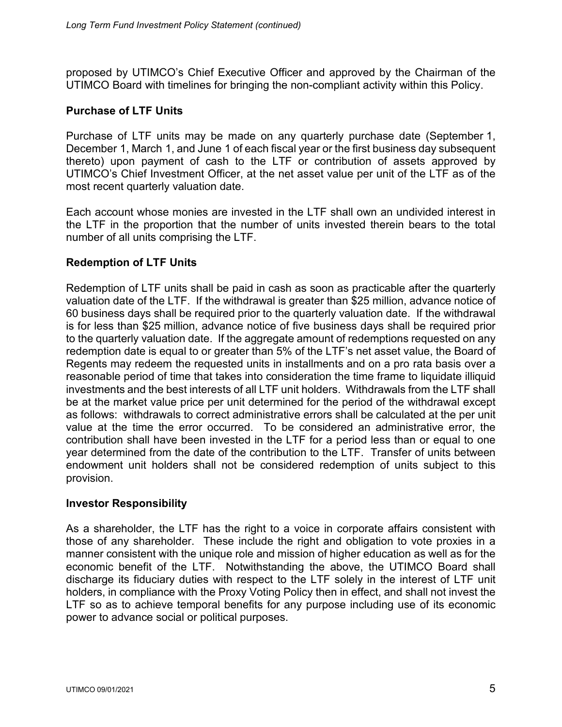proposed by UTIMCO's Chief Executive Officer and approved by the Chairman of the UTIMCO Board with timelines for bringing the non-compliant activity within this Policy.

## **Purchase of LTF Units**

Purchase of LTF units may be made on any quarterly purchase date (September 1, December 1, March 1, and June 1 of each fiscal year or the first business day subsequent thereto) upon payment of cash to the LTF or contribution of assets approved by UTIMCO's Chief Investment Officer, at the net asset value per unit of the LTF as of the most recent quarterly valuation date.

Each account whose monies are invested in the LTF shall own an undivided interest in the LTF in the proportion that the number of units invested therein bears to the total number of all units comprising the LTF.

## **Redemption of LTF Units**

Redemption of LTF units shall be paid in cash as soon as practicable after the quarterly valuation date of the LTF. If the withdrawal is greater than \$25 million, advance notice of 60 business days shall be required prior to the quarterly valuation date. If the withdrawal is for less than \$25 million, advance notice of five business days shall be required prior to the quarterly valuation date. If the aggregate amount of redemptions requested on any redemption date is equal to or greater than 5% of the LTF's net asset value, the Board of Regents may redeem the requested units in installments and on a pro rata basis over a reasonable period of time that takes into consideration the time frame to liquidate illiquid investments and the best interests of all LTF unit holders. Withdrawals from the LTF shall be at the market value price per unit determined for the period of the withdrawal except as follows: withdrawals to correct administrative errors shall be calculated at the per unit value at the time the error occurred. To be considered an administrative error, the contribution shall have been invested in the LTF for a period less than or equal to one year determined from the date of the contribution to the LTF. Transfer of units between endowment unit holders shall not be considered redemption of units subject to this provision.

#### **Investor Responsibility**

As a shareholder, the LTF has the right to a voice in corporate affairs consistent with those of any shareholder. These include the right and obligation to vote proxies in a manner consistent with the unique role and mission of higher education as well as for the economic benefit of the LTF. Notwithstanding the above, the UTIMCO Board shall discharge its fiduciary duties with respect to the LTF solely in the interest of LTF unit holders, in compliance with the Proxy Voting Policy then in effect, and shall not invest the LTF so as to achieve temporal benefits for any purpose including use of its economic power to advance social or political purposes.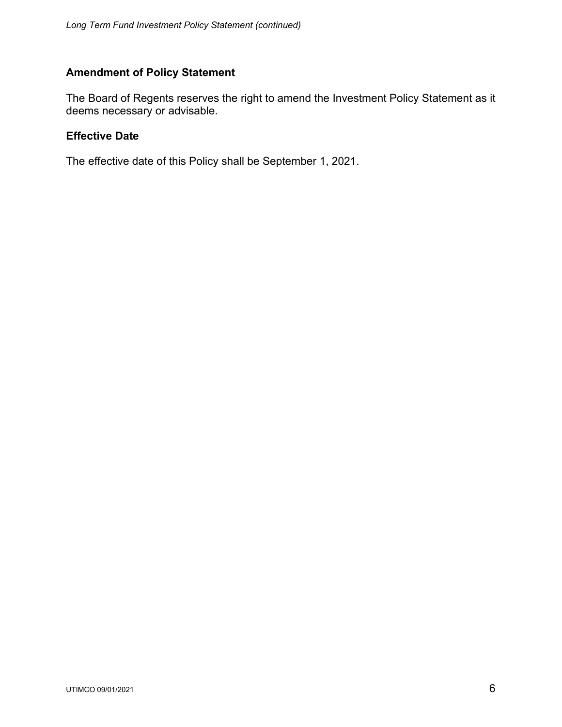## **Amendment of Policy Statement**

The Board of Regents reserves the right to amend the Investment Policy Statement as it deems necessary or advisable.

#### **Effective Date**

The effective date of this Policy shall be September 1, 2021.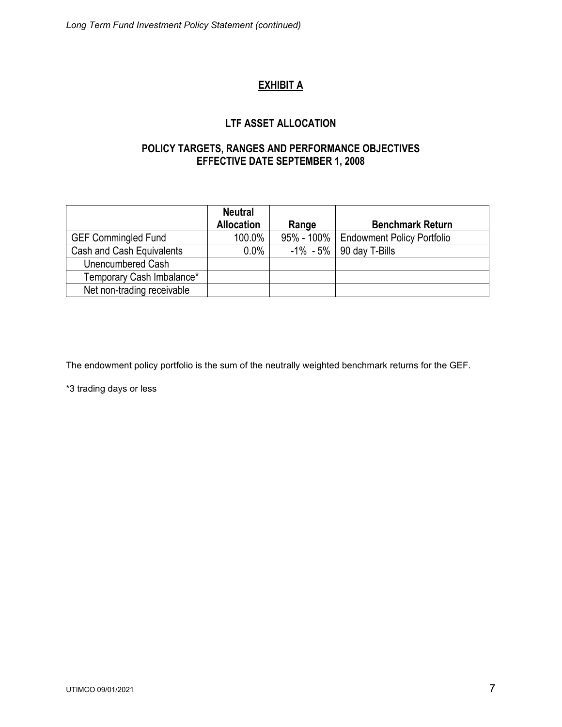# **EXHIBIT A**

# **LTF ASSET ALLOCATION**

## **POLICY TARGETS, RANGES AND PERFORMANCE OBJECTIVES EFFECTIVE DATE SEPTEMBER 1, 2008**

|                            | <b>Neutral</b><br><b>Allocation</b> | Range | <b>Benchmark Return</b>                 |
|----------------------------|-------------------------------------|-------|-----------------------------------------|
| <b>GEF Commingled Fund</b> | 100.0%                              |       | 95% - 100%   Endowment Policy Portfolio |
| Cash and Cash Equivalents  | $0.0\%$                             |       | $-1\% - 5\%$   90 day T-Bills           |
| Unencumbered Cash          |                                     |       |                                         |
| Temporary Cash Imbalance*  |                                     |       |                                         |
| Net non-trading receivable |                                     |       |                                         |

The endowment policy portfolio is the sum of the neutrally weighted benchmark returns for the GEF.

\*3 trading days or less